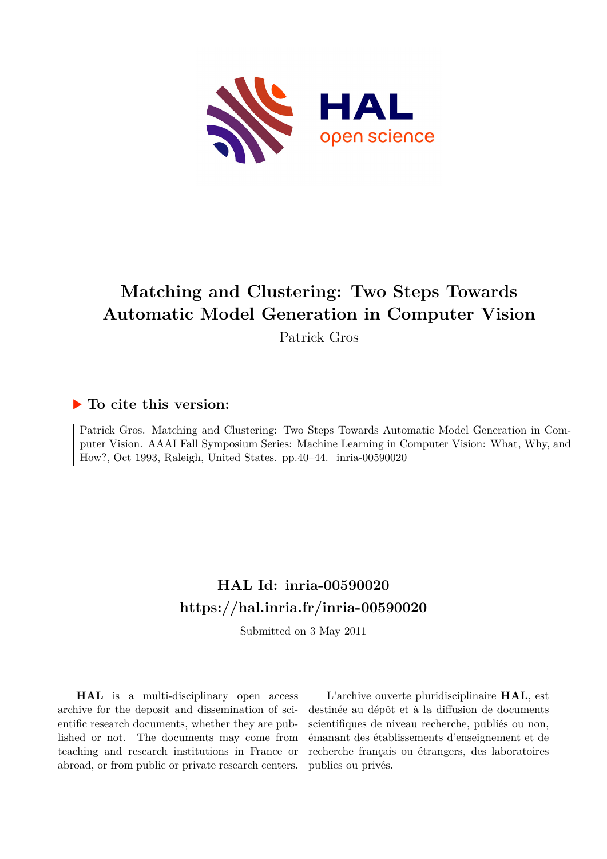

# **Matching and Clustering: Two Steps Towards Automatic Model Generation in Computer Vision**

Patrick Gros

### **To cite this version:**

Patrick Gros. Matching and Clustering: Two Steps Towards Automatic Model Generation in Computer Vision. AAAI Fall Symposium Series: Machine Learning in Computer Vision: What, Why, and How?, Oct 1993, Raleigh, United States. pp.40-44. inria-00590020

## **HAL Id: inria-00590020 <https://hal.inria.fr/inria-00590020>**

Submitted on 3 May 2011

**HAL** is a multi-disciplinary open access archive for the deposit and dissemination of scientific research documents, whether they are published or not. The documents may come from teaching and research institutions in France or abroad, or from public or private research centers.

L'archive ouverte pluridisciplinaire **HAL**, est destinée au dépôt et à la diffusion de documents scientifiques de niveau recherche, publiés ou non, émanant des établissements d'enseignement et de recherche français ou étrangers, des laboratoires publics ou privés.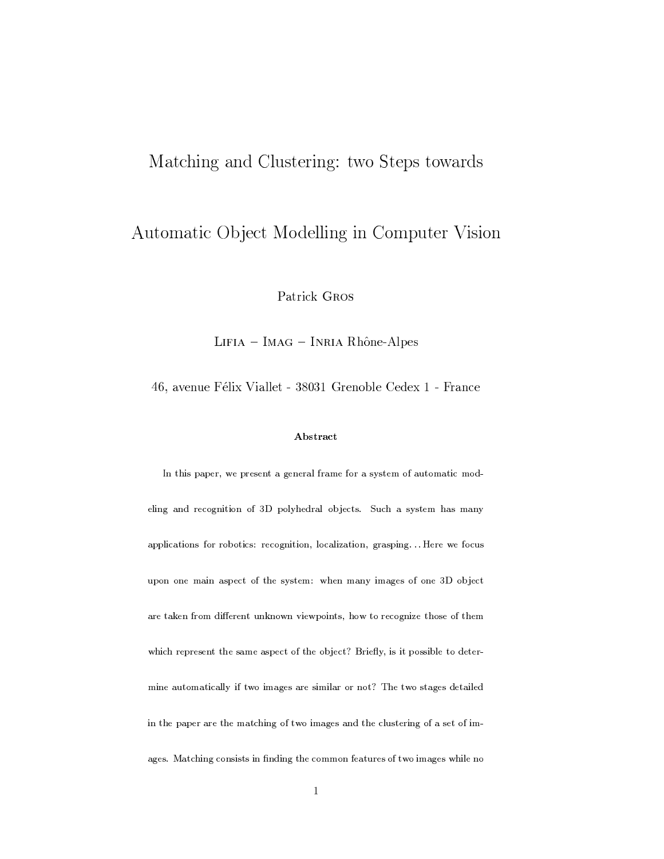### Matching and Clustering: two Steps towards

### Automatic Object Modelling in Computer Vision

Patrick GROS

 $LIFIA - IMAG - INRIA Rhône-Alpes$ 

46, avenue Félix Viallet - 38031 Grenoble Cedex 1 - France

### Abstract

In this paper, we present a general frame for a system of automatic modeling and recognition of 3D polyhedral objects. Such a system has many applications for robotics: recognition, localization, grasping... Here we focus upon one main aspect of the system: when many images of one 3D object are taken from different unknown viewpoints, how to recognize those of them which represent the same aspect of the object? Briefly, is it possible to determine automatically if two images are similar or not? The two stages detailed in the paper are the matching of two images and the clustering of a set of images. Matching consists in finding the common features of two images while no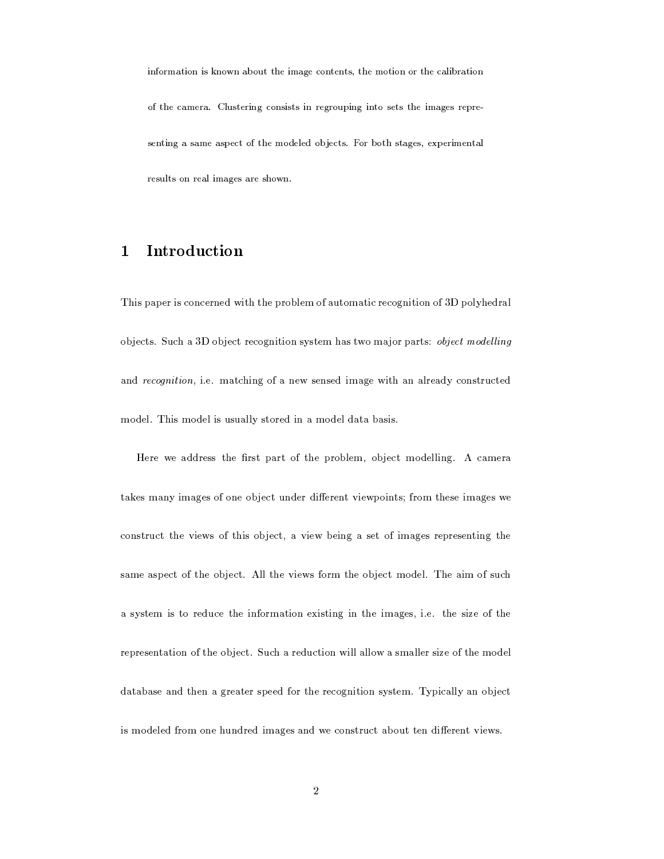information is known about the image contents, the motion or the calibration of the camera. Clustering consists in regrouping into sets the images representing a same aspect of the modeled objects. For both stages, experimental results on real images are shown.

#### Introduction  $\mathbf{1}$

This paper is concerned with the problem of automatic recognition of 3D polyhedral objects. Such a 3D object recognition system has two major parts: object modelling and recognition, i.e. matching of a new sensed image with an already constructed model. This model is usually stored in a model data basis.

Here we address the first part of the problem, object modelling. A camera takes many images of one object under different viewpoints; from these images we construct the views of this object, a view being a set of images representing the same aspect of the object. All the views form the object model. The aim of such a system is to reduce the information existing in the images, i.e. the size of the representation of the object. Such a reduction will allow a smaller size of the model database and then a greater speed for the recognition system. Typically an object is modeled from one hundred images and we construct about ten different views.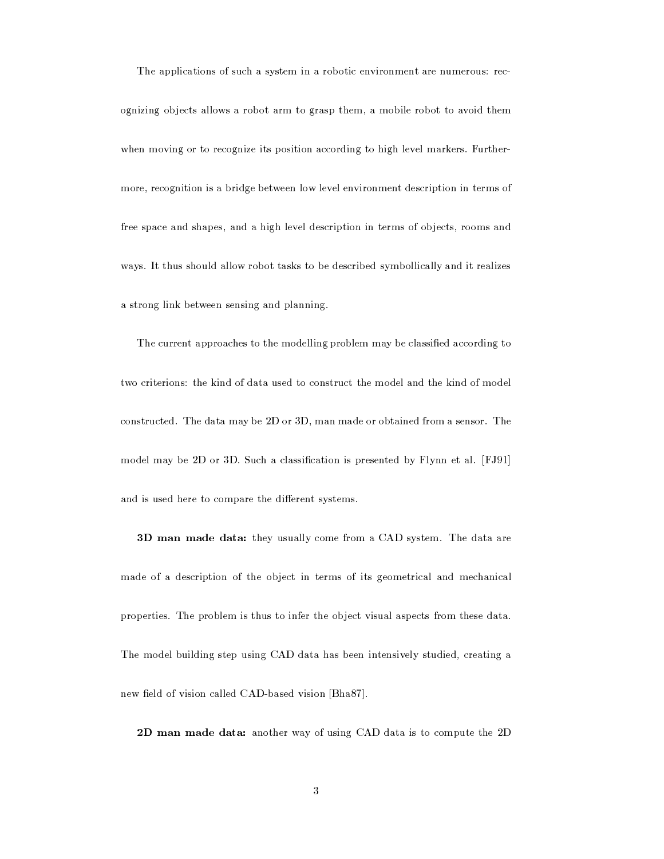The applications of such a system in a robotic environment are numerous: recognizing objects allows a robot arm to grasp them, a mobile robot to avoid them when moving or to recognize its position according to high level markers. Furthermore, recognition is a bridge between low level environment description in terms of free space and shapes, and a high level description in terms of objects, rooms and ways. It thus should allow robot tasks to be described symbollically and it realizes a strong link between sensing and planning.

The current approaches to the modelling problem may be classified according to two criterions: the kind of data used to construct the model and the kind of model constructed. The data may be 2D or 3D, man made or obtained from a sensor. The model may be 2D or 3D. Such a classification is presented by Flynn et al. [FJ91] and is used here to compare the different systems.

**3D man made data:** they usually come from a CAD system. The data are made of a description of the object in terms of its geometrical and mechanical properties. The problem is thus to infer the object visual aspects from these data. The model building step using CAD data has been intensively studied, creating a new field of vision called CAD-based vision [Bha87].

2D man made data: another way of using CAD data is to compute the 2D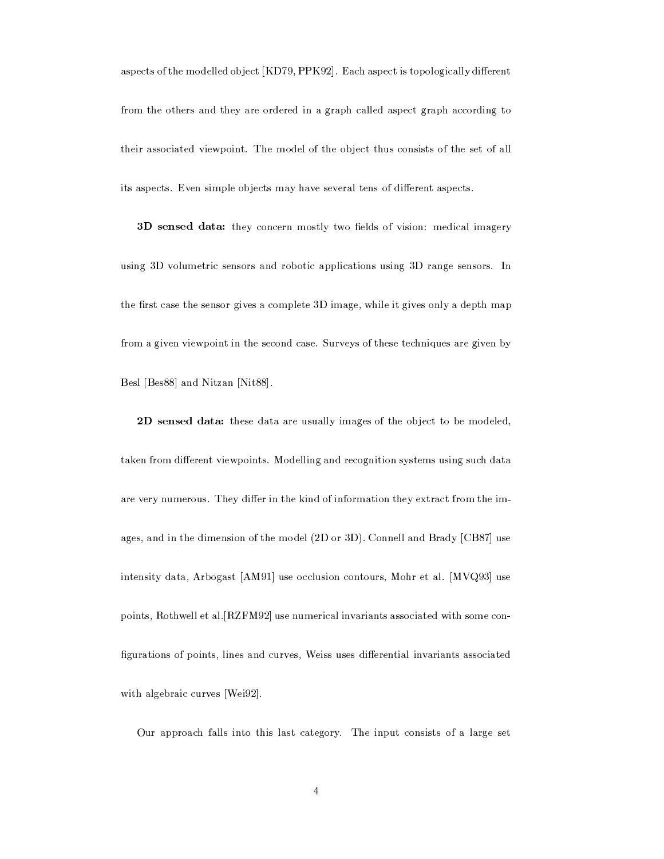aspects of the modelled object [KD79, PPK92]. Each aspect is topologically different from the others and they are ordered in a graph called aspect graph according to their associated viewpoint. The model of the object thus consists of the set of all its aspects. Even simple objects may have several tens of different aspects.

3D sensed data: they concern mostly two fields of vision: medical imagery using 3D volumetric sensors and robotic applications using 3D range sensors. In the first case the sensor gives a complete 3D image, while it gives only a depth map from a given viewpoint in the second case. Surveys of these techniques are given by Besl [Bes88] and Nitzan [Nit88].

2D sensed data: these data are usually images of the object to be modeled, taken from different viewpoints. Modelling and recognition systems using such data are very numerous. They differ in the kind of information they extract from the images, and in the dimension of the model (2D or 3D). Connell and Brady [CB87] use intensity data, Arbogast [AM91] use occlusion contours, Mohr et al. [MVQ93] use points, Rothwell et al. [RZFM92] use numerical invariants associated with some configurations of points, lines and curves, Weiss uses differential invariants associated with algebraic curves [Wei92].

Our approach falls into this last category. The input consists of a large set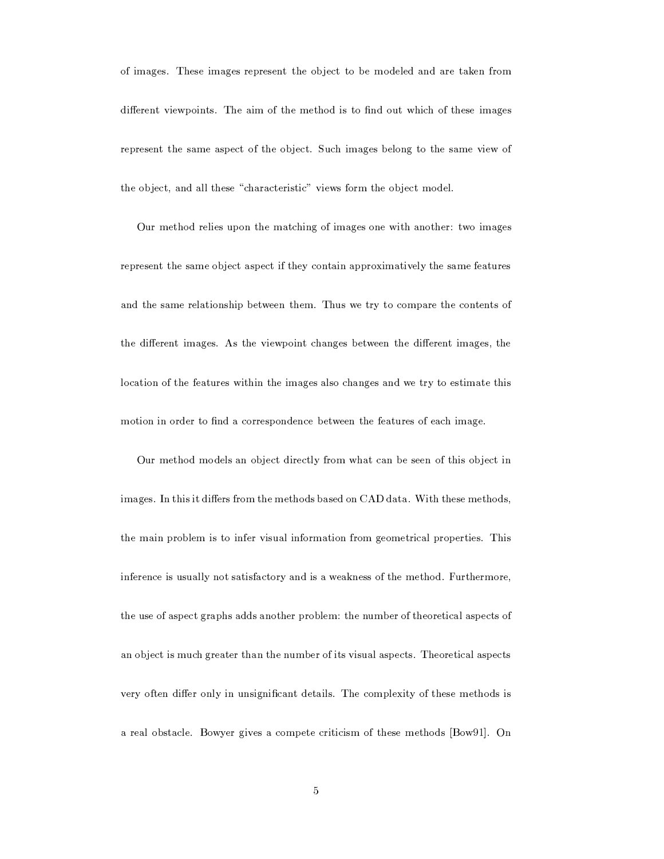of images. These images represent the object to be modeled and are taken from different viewpoints. The aim of the method is to find out which of these images represent the same aspect of the object. Such images belong to the same view of the object, and all these "characteristic" views form the object model.

Our method relies upon the matching of images one with another: two images represent the same object aspect if they contain approximatively the same features and the same relationship between them. Thus we try to compare the contents of the different images. As the viewpoint changes between the different images, the location of the features within the images also changes and we try to estimate this motion in order to find a correspondence between the features of each image.

Our method models an object directly from what can be seen of this object in images. In this it differs from the methods based on CAD data. With these methods, the main problem is to infer visual information from geometrical properties. This inference is usually not satisfactory and is a weakness of the method. Furthermore, the use of aspect graphs adds another problem: the number of theoretical aspects of an object is much greater than the number of its visual aspects. Theoretical aspects very often differ only in unsignificant details. The complexity of these methods is a real obstacle. Bowyer gives a compete criticism of these methods [Bow91]. On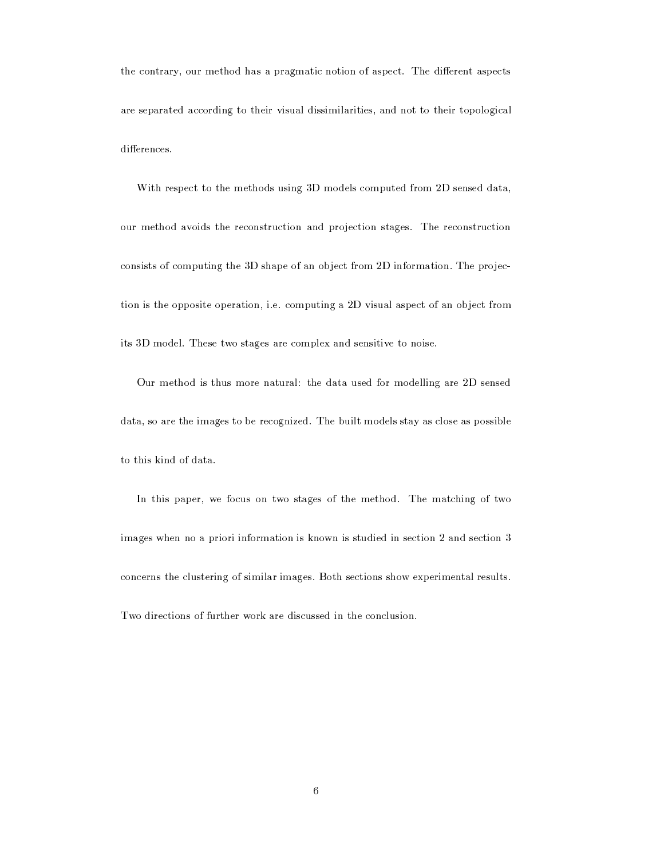the contrary, our method has a pragmatic notion of aspect. The different aspects are separated according to their visual dissimilarities, and not to their topological differences.

With respect to the methods using 3D models computed from 2D sensed data, our method avoids the reconstruction and projection stages. The reconstruction consists of computing the 3D shape of an object from 2D information. The projection is the opposite operation, i.e. computing a 2D visual aspect of an object from its 3D model. These two stages are complex and sensitive to noise.

Our method is thus more natural: the data used for modelling are 2D sensed data, so are the images to be recognized. The built models stay as close as possible to this kind of data.

In this paper, we focus on two stages of the method. The matching of two images when no a priori information is known is studied in section 2 and section 3 concerns the clustering of similar images. Both sections show experimental results. Two directions of further work are discussed in the conclusion.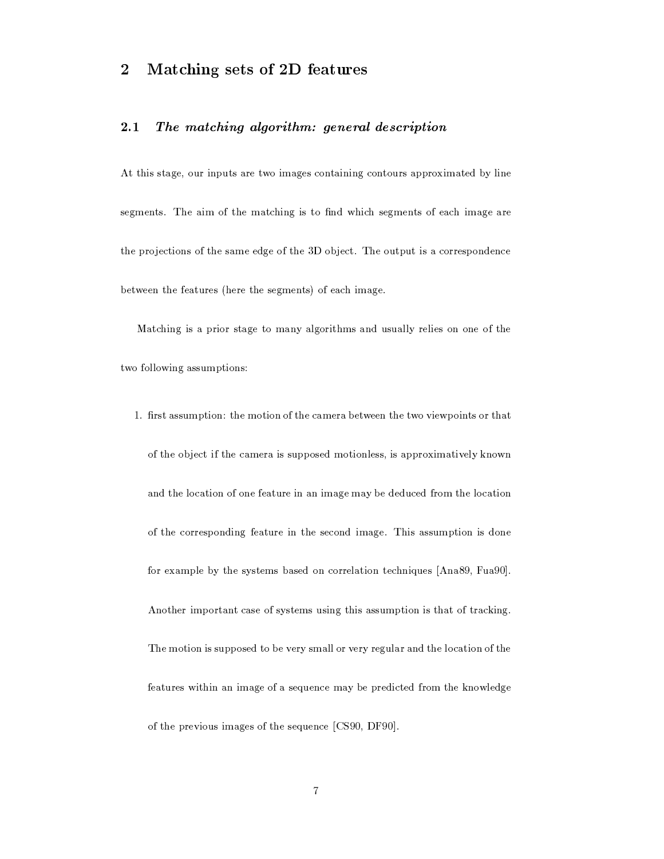#### Matching sets of 2D features  $\overline{2}$

#### $2.1$ The matching algorithm: general description

At this stage, our inputs are two images containing contours approximated by line segments. The aim of the matching is to find which segments of each image are the projections of the same edge of the 3D object. The output is a correspondence between the features (here the segments) of each image.

Matching is a prior stage to many algorithms and usually relies on one of the two following assumptions:

1. first assumption: the motion of the camera between the two viewpoints or that of the object if the camera is supposed motionless, is approximatively known and the location of one feature in an image may be deduced from the location of the corresponding feature in the second image. This assumption is done for example by the systems based on correlation techniques [Ana89, Fua90]. Another important case of systems using this assumption is that of tracking. The motion is supposed to be very small or very regular and the location of the features within an image of a sequence may be predicted from the knowledge of the previous images of the sequence [CS90, DF90].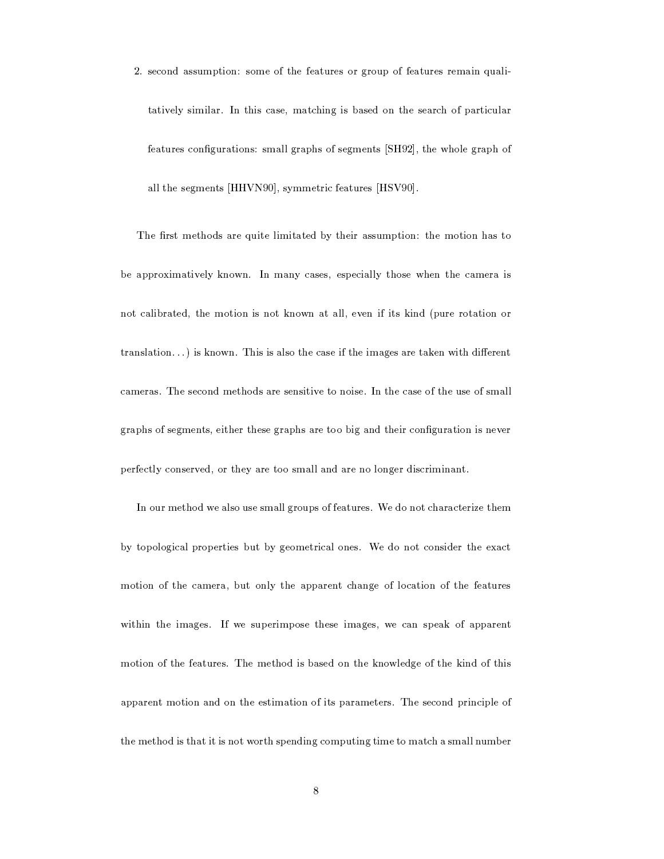2. second assumption: some of the features or group of features remain qualitatively similar. In this case, matching is based on the search of particular features configurations: small graphs of segments [SH92], the whole graph of all the segments [HHVN90], symmetric features [HSV90].

The first methods are quite limitated by their assumption: the motion has to be approximatively known. In many cases, especially those when the camera is not calibrated, the motion is not known at all, even if its kind (pure rotation or  $translation...$ ) is known. This is also the case if the images are taken with different cameras. The second methods are sensitive to noise. In the case of the use of small graphs of segments, either these graphs are too big and their configuration is never perfectly conserved, or they are too small and are no longer discriminant.

In our method we also use small groups of features. We do not characterize them by topological properties but by geometrical ones. We do not consider the exact motion of the camera, but only the apparent change of location of the features within the images. If we superimpose these images, we can speak of apparent motion of the features. The method is based on the knowledge of the kind of this apparent motion and on the estimation of its parameters. The second principle of the method is that it is not worth spending computing time to match a small number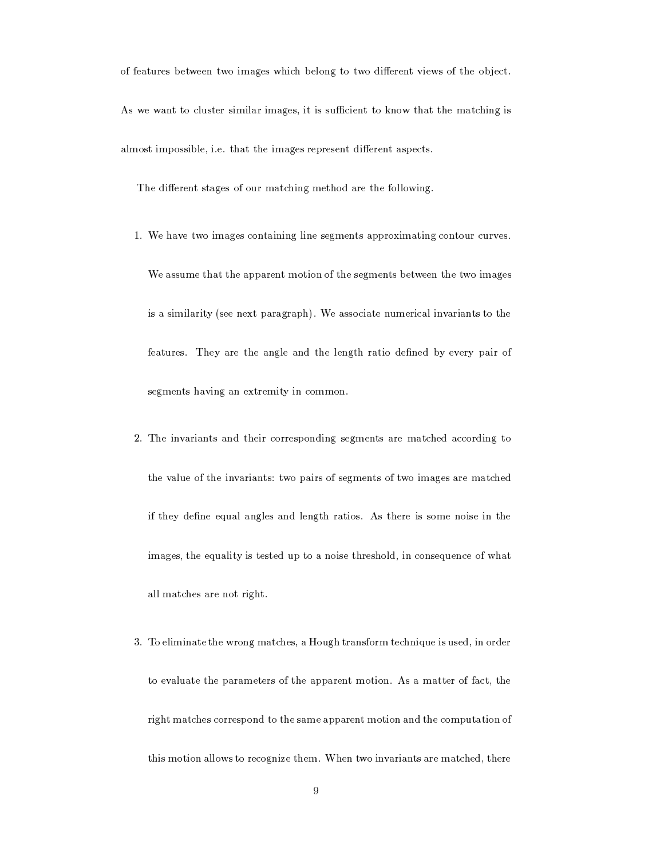of features between two images which belong to two different views of the object. As we want to cluster similar images, it is sufficient to know that the matching is almost impossible, i.e. that the images represent different aspects.

The different stages of our matching method are the following.

1. We have two images containing line segments approximating contour curves.

We assume that the apparent motion of the segments between the two images is a similarity (see next paragraph). We associate numerical invariants to the features. They are the angle and the length ratio defined by every pair of segments having an extremity in common.

- 2. The invariants and their corresponding segments are matched according to the value of the invariants: two pairs of segments of two images are matched if they define equal angles and length ratios. As there is some noise in the images, the equality is tested up to a noise threshold, in consequence of what all matches are not right.
- 3. To eliminate the wrong matches, a Hough transform technique is used, in order to evaluate the parameters of the apparent motion. As a matter of fact, the right matches correspond to the same apparent motion and the computation of this motion allows to recognize them. When two invariants are matched, there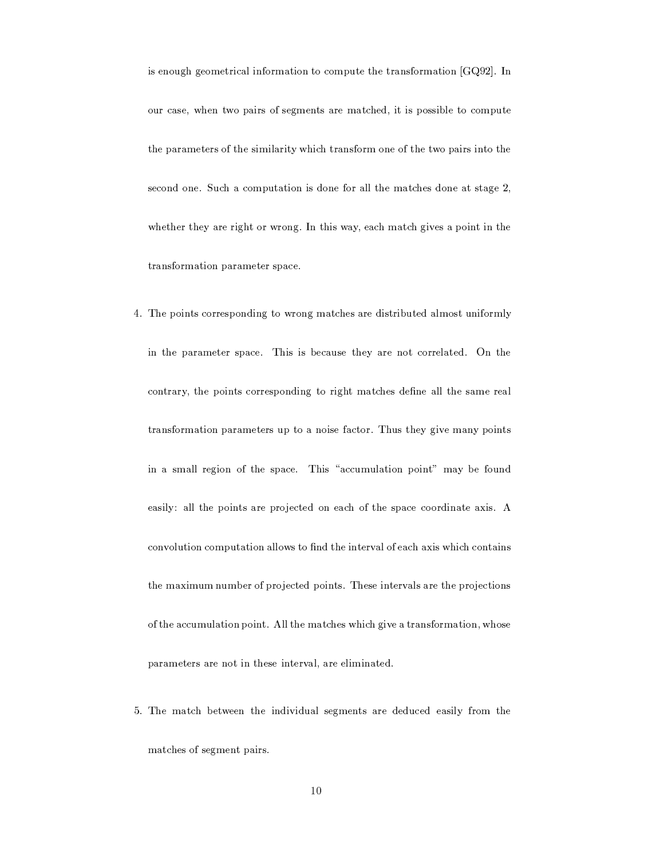is enough geometrical information to compute the transformation [GQ92]. In our case, when two pairs of segments are matched, it is possible to compute the parameters of the similarity which transform one of the two pairs into the second one. Such a computation is done for all the matches done at stage 2, whether they are right or wrong. In this way, each match gives a point in the transformation parameter space.

- 4. The points corresponding to wrong matches are distributed almost uniformly in the parameter space. This is because they are not correlated. On the contrary, the points corresponding to right matches define all the same real transformation parameters up to a noise factor. Thus they give many points in a small region of the space. This "accumulation point" may be found easily: all the points are projected on each of the space coordinate axis. A convolution computation allows to find the interval of each axis which contains the maximum number of projected points. These intervals are the projections of the accumulation point. All the matches which give a transformation, whose parameters are not in these interval, are eliminated.
- 5. The match between the individual segments are deduced easily from the matches of segment pairs.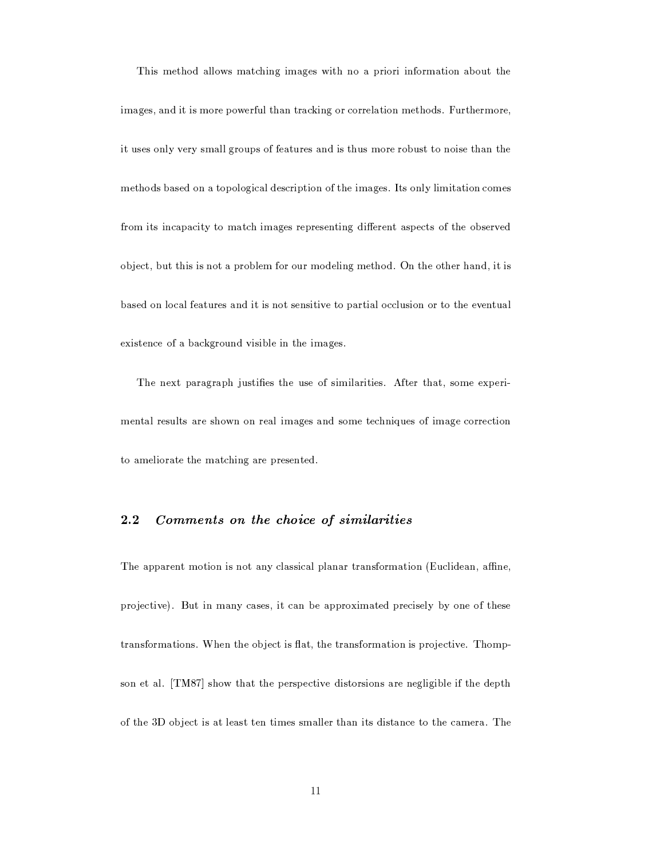This method allows matching images with no a priori information about the images, and it is more powerful than tracking or correlation methods. Furthermore, it uses only very small groups of features and is thus more robust to noise than the methods based on a topological description of the images. Its only limitation comes from its incapacity to match images representing different aspects of the observed object, but this is not a problem for our modeling method. On the other hand, it is based on local features and it is not sensitive to partial occlusion or to the eventual existence of a background visible in the images.

The next paragraph justifies the use of similarities. After that, some experimental results are shown on real images and some techniques of image correction to ameliorate the matching are presented.

#### $2.2$ Comments on the choice of similarities

The apparent motion is not any classical planar transformation (Euclidean, affine, projective). But in many cases, it can be approximated precisely by one of these transformations. When the object is flat, the transformation is projective. Thompson et al. [TM87] show that the perspective distorsions are negligible if the depth of the 3D object is at least ten times smaller than its distance to the camera. The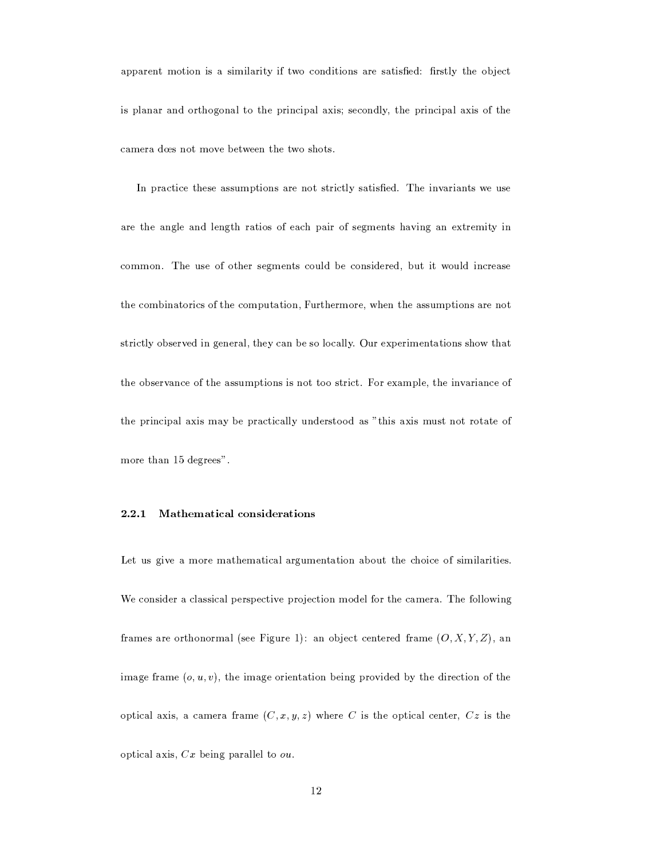apparent motion is a similarity if two conditions are satisfied: firstly the object is planar and orthogonal to the principal axis; secondly, the principal axis of the camera dœs not move between the two shots.

In practice these assumptions are not strictly satisfied. The invariants we use are the angle and length ratios of each pair of segments having an extremity in common. The use of other segments could be considered, but it would increase the combinatorics of the computation, Furthermore, when the assumptions are not strictly observed in general, they can be so locally. Our experimentations show that the observance of the assumptions is not too strict. For example, the invariance of the principal axis may be practically understood as "this axis must not rotate of more than 15 degrees".

#### 2.2.1 Mathematical considerations

Let us give a more mathematical argumentation about the choice of similarities. We consider a classical perspective projection model for the camera. The following frames are orthonormal (see Figure 1): an object centered frame  $(O, X, Y, Z)$ , an image frame  $(o, u, v)$ , the image orientation being provided by the direction of the optical axis, a camera frame  $(C, x, y, z)$  where C is the optical center, Cz is the optical axis,  $Cx$  being parallel to  $ou$ .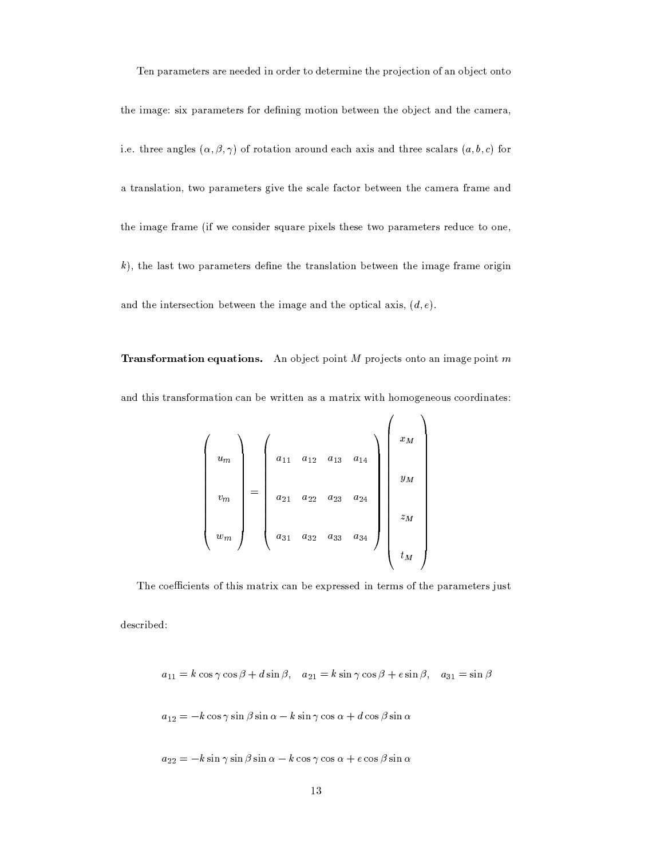Ten parameters are needed in order to determine the projection of an object onto the image: six parameters for defining motion between the object and the camera, i.e. three angles  $(\alpha, \beta, \gamma)$  of rotation around each axis and three scalars  $(a, b, c)$  for a translation, two parameters give the scale factor between the camera frame and the image frame (if we consider square pixels these two parameters reduce to one,  $k$ ), the last two parameters define the translation between the image frame origin and the intersection between the image and the optical axis,  $(d, e)$ .

**Transformation equations.** An object point  $M$  projects onto an image point  $m$ and this transformation can be written as a matrix with homogeneous coordinates:

$$
\begin{pmatrix}\n u_m \\
v_m \\
w_m\n\end{pmatrix} = \begin{pmatrix}\n a_{11} & a_{12} & a_{13} & a_{14} \\
a_{21} & a_{22} & a_{23} & a_{24} \\
a_{31} & a_{32} & a_{33} & a_{34}\n\end{pmatrix} \begin{pmatrix}\n x_M \\
y_M \\
z_M \\
t_M\n\end{pmatrix}
$$

The coefficients of this matrix can be expressed in terms of the parameters just

described:

$$
a_{11} = k \cos \gamma \cos \beta + d \sin \beta
$$
,  $a_{21} = k \sin \gamma \cos \beta + e \sin \beta$ ,  $a_{31} = \sin \beta$ 

$$
a_{12} = -k\cos\gamma\sin\beta\sin\alpha - k\sin\gamma\cos\alpha + d\cos\beta\sin\alpha
$$

$$
a_{22} = -k \sin \gamma \sin \beta \sin \alpha - k \cos \gamma \cos \alpha + e \cos \beta \sin \alpha
$$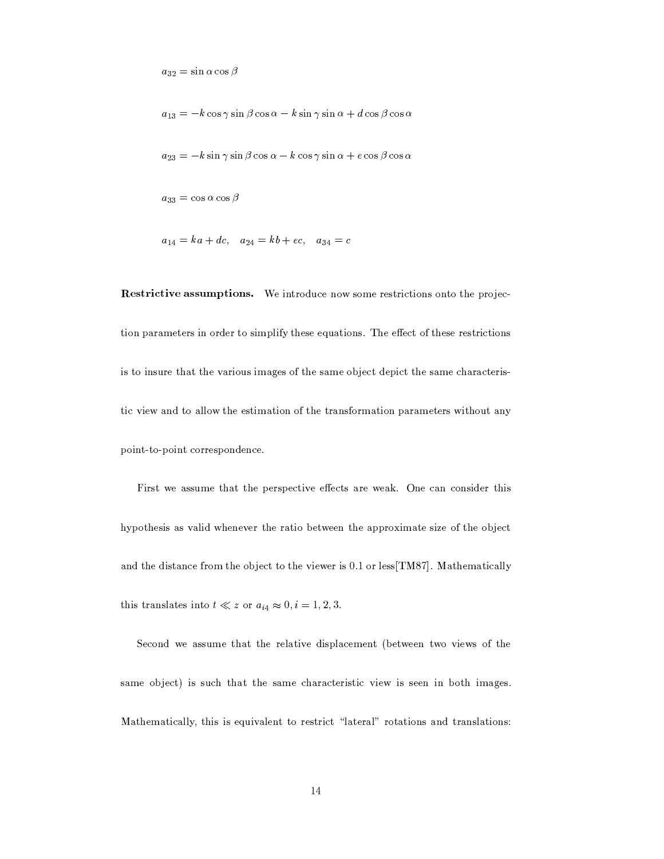$a_{32} = \sin \alpha \cos \beta$ 

 $a_{13} = -k \cos \gamma \sin \beta \cos \alpha - k \sin \gamma \sin \alpha + d \cos \beta \cos \alpha$ 

$$
a_{23} = -k \sin \gamma \sin \beta \cos \alpha - k \cos \gamma \sin \alpha + e \cos \beta \cos \alpha
$$

 $a_{33} = \cos \alpha \cos \beta$ 

$$
a_{14} = ka + dc
$$
,  $a_{24} = kb + ec$ ,  $a_{34} = c$ 

Restrictive assumptions. We introduce now some restrictions onto the projection parameters in order to simplify these equations. The effect of these restrictions is to insure that the various images of the same object depict the same characteristic view and to allow the estimation of the transformation parameters without any point-to-point correspondence.

First we assume that the perspective effects are weak. One can consider this hypothesis as valid whenever the ratio between the approximate size of the object and the distance from the object to the viewer is 0.1 or less[TM87]. Mathematically this translates into  $t \ll z$  or  $a_{i4} \approx 0$ ,  $i = 1, 2, 3$ .

Second we assume that the relative displacement (between two views of the same object) is such that the same characteristic view is seen in both images. Mathematically, this is equivalent to restrict "lateral" rotations and translations: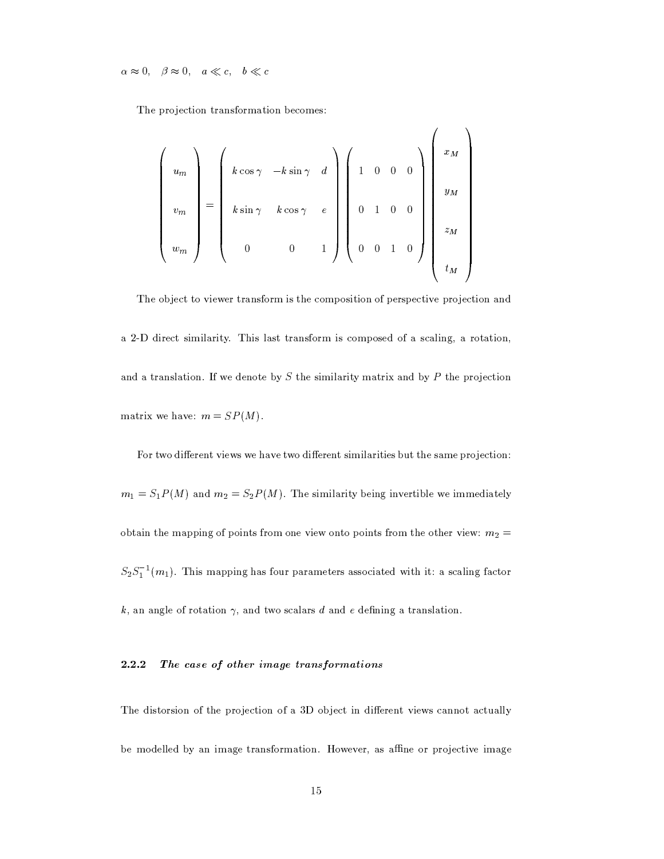$\alpha \approx 0, \quad \beta \approx 0, \quad a \ll c, \quad b \ll c$ 

The projection transformation becomes:

$$
\begin{pmatrix}\nu_m \\ v_m \\ w_m \end{pmatrix} = \begin{pmatrix}\nk \cos \gamma & -k \sin \gamma & d \\ k \sin \gamma & k \cos \gamma & e \\ 0 & 0 & 1\n\end{pmatrix} \begin{pmatrix}\n1 & 0 & 0 & 0 \\ 0 & 1 & 0 & 0 \\ 0 & 0 & 1 & 0 \end{pmatrix} \begin{pmatrix}\nx_M \\ y_M \\ z_M \\ t_M \end{pmatrix}
$$

The object to viewer transform is the composition of perspective projection and a 2-D direct similarity. This last transform is composed of a scaling, a rotation, and a translation. If we denote by  $S$  the similarity matrix and by  $P$  the projection matrix we have:  $m = SP(M)$ .

For two different views we have two different similarities but the same projection:  $m_1 = S_1 P(M)$  and  $m_2 = S_2 P(M)$ . The similarity being invertible we immediately obtain the mapping of points from one view onto points from the other view:  $m_2 =$  $S_2S_1^{-1}(m_1)$ . This mapping has four parameters associated with it: a scaling factor  $k$ , an angle of rotation  $\gamma$ , and two scalars d and e defining a translation.

#### 2.2.2 The case of other image transformations

The distorsion of the projection of a 3D object in different views cannot actually be modelled by an image transformation. However, as affine or projective image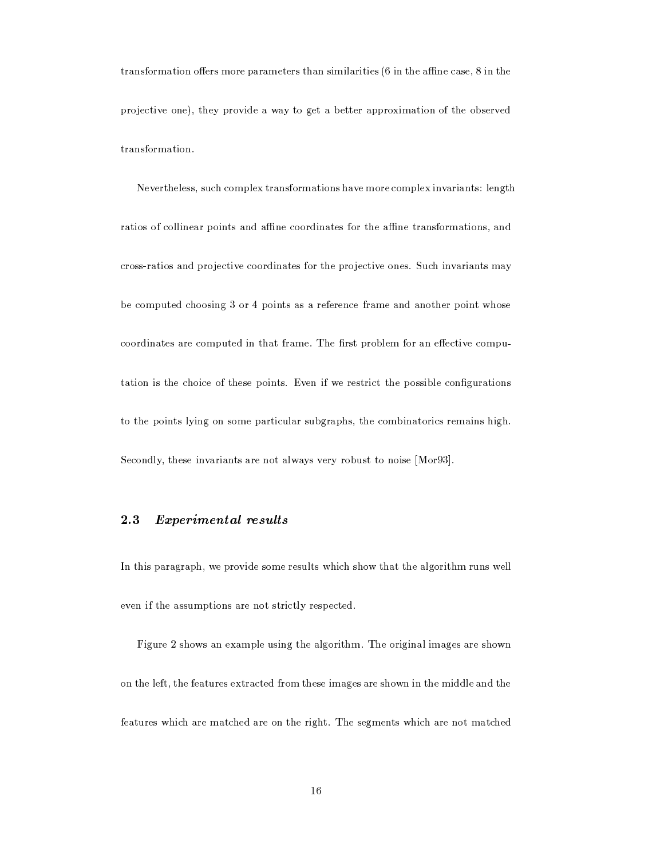transformation offers more parameters than similarities  $(6 \text{ in the affine case}, 8 \text{ in the } 2)$ projective one), they provide a way to get a better approximation of the observed transformation.

Nevertheless, such complex transformations have more complex invariants: length ratios of collinear points and affine coordinates for the affine transformations, and cross-ratios and projective coordinates for the projective ones. Such invariants may be computed choosing 3 or 4 points as a reference frame and another point whose coordinates are computed in that frame. The first problem for an effective computation is the choice of these points. Even if we restrict the possible configurations to the points lying on some particular subgraphs, the combinatorics remains high. Secondly, these invariants are not always very robust to noise [Mor93].

#### $2.3$ Experimental results

In this paragraph, we provide some results which show that the algorithm runs well even if the assumptions are not strictly respected.

Figure 2 shows an example using the algorithm. The original images are shown on the left, the features extracted from these images are shown in the middle and the features which are matched are on the right. The segments which are not matched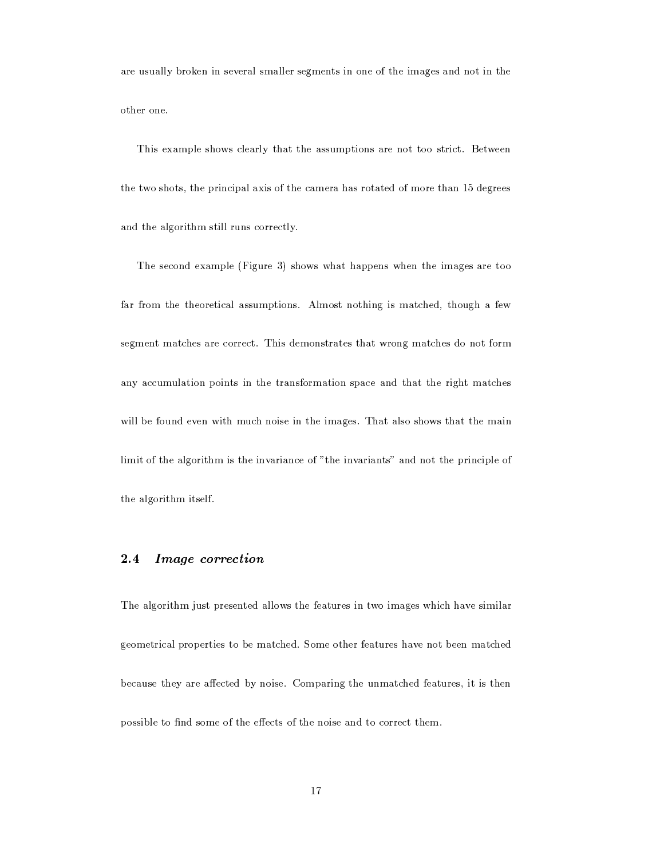are usually broken in several smaller segments in one of the images and not in the other one.

This example shows clearly that the assumptions are not too strict. Between the two shots, the principal axis of the camera has rotated of more than 15 degrees and the algorithm still runs correctly.

The second example (Figure 3) shows what happens when the images are too far from the theoretical assumptions. Almost nothing is matched, though a few segment matches are correct. This demonstrates that wrong matches do not form any accumulation points in the transformation space and that the right matches will be found even with much noise in the images. That also shows that the main limit of the algorithm is the invariance of "the invariants" and not the principle of the algorithm itself.

#### $2.4$ *Image correction*

The algorithm just presented allows the features in two images which have similar geometrical properties to be matched. Some other features have not been matched because they are affected by noise. Comparing the unmatched features, it is then possible to find some of the effects of the noise and to correct them.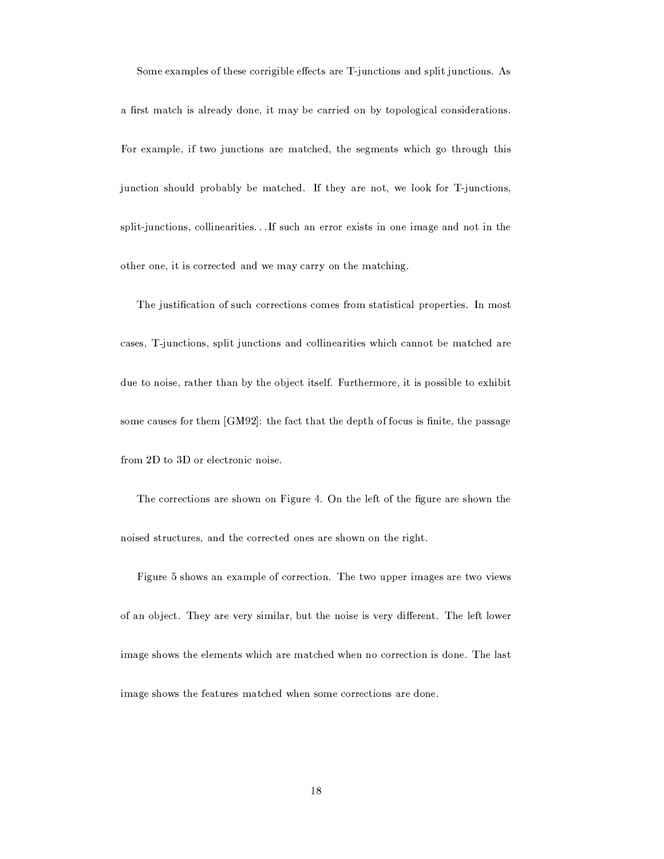Some examples of these corrigible effects are T-junctions and split junctions. As

a first match is already done, it may be carried on by topological considerations. For example, if two junctions are matched, the segments which go through this junction should probably be matched. If they are not, we look for T-junctions, split-junctions, collinearities... If such an error exists in one image and not in the other one, it is corrected and we may carry on the matching.

The justification of such corrections comes from statistical properties. In most cases, T-junctions, split junctions and collinearities which cannot be matched are due to noise, rather than by the object itself. Furthermore, it is possible to exhibit some causes for them [GM92]: the fact that the depth of focus is finite, the passage from 2D to 3D or electronic noise.

The corrections are shown on Figure 4. On the left of the figure are shown the noised structures, and the corrected ones are shown on the right.

Figure 5 shows an example of correction. The two upper images are two views of an object. They are very similar, but the noise is very different. The left lower image shows the elements which are matched when no correction is done. The last image shows the features matched when some corrections are done.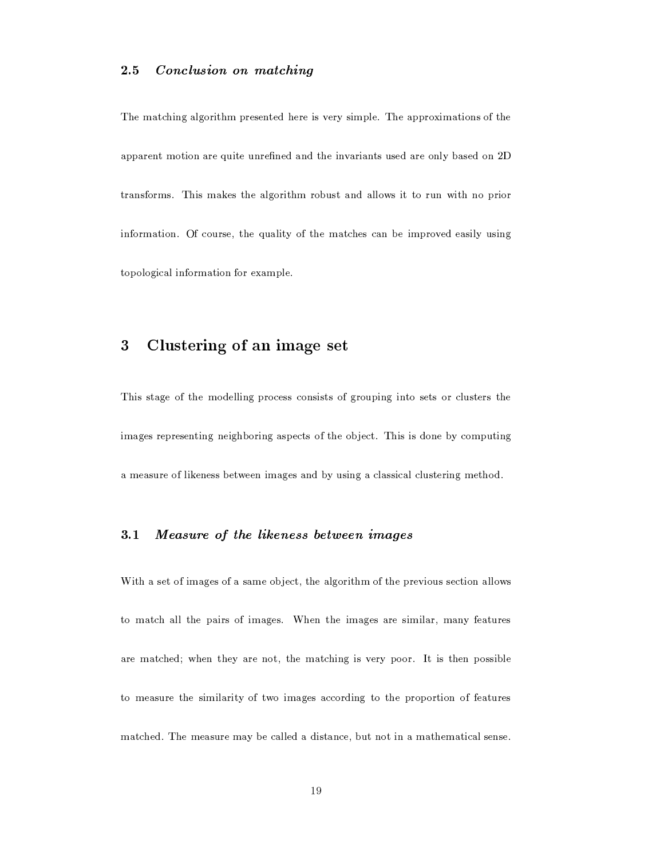#### $2\,.5$ Conclusion on matching

The matching algorithm presented here is very simple. The approximations of the apparent motion are quite unrefined and the invariants used are only based on 2D transforms. This makes the algorithm robust and allows it to run with no prior information. Of course, the quality of the matches can be improved easily using topological information for example.

#### Clustering of an image set 3

This stage of the modelling process consists of grouping into sets or clusters the images representing neighboring aspects of the object. This is done by computing a measure of likeness between images and by using a classical clustering method.

#### $3.1$ Measure of the likeness between images

With a set of images of a same object, the algorithm of the previous section allows to match all the pairs of images. When the images are similar, many features are matched; when they are not, the matching is very poor. It is then possible to measure the similarity of two images according to the proportion of features matched. The measure may be called a distance, but not in a mathematical sense.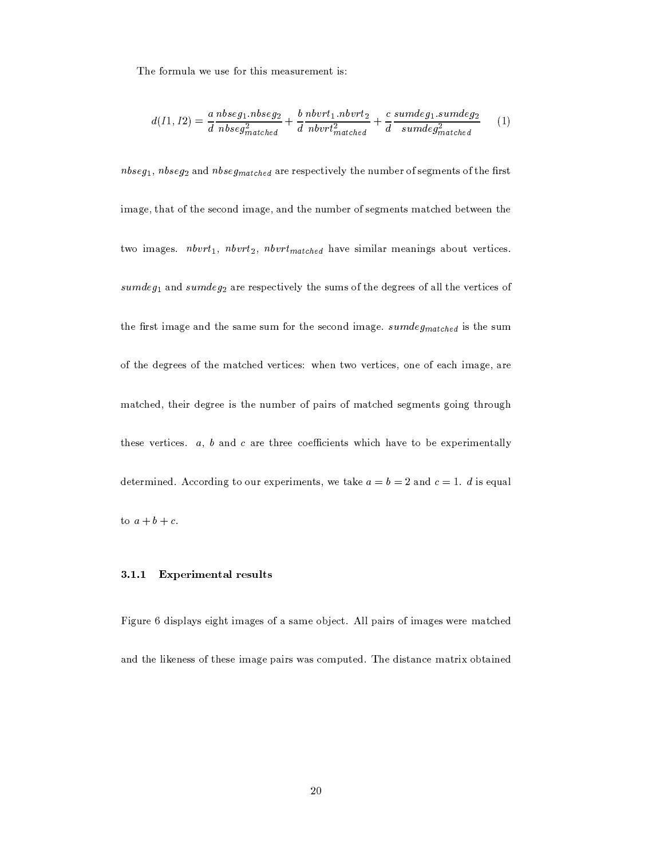The formula we use for this measurement is:

$$
d(11, I2) = \frac{a \text{ } n \text{ } b \text{ } s \text{ } \text{ } e \text{ } g_1 \text{ } \text{ } n \text{ } b \text{ } s \text{ } \text{ } e \text{ } g_2}{a \text{ } n \text{ } b \text{ } s \text{ } \text{ } e \text{ } g_{\text{} \text{ } n \text{ } a \text{ } c \text{ } h \text{ } e}} + \frac{b \text{ } n \text{ } b \text{ } v \text{ } r \text{ } t_1 \text{ } n \text{ } b \text{ } v \text{ } t_2}{a \text{ } n \text{ } b \text{ } r \text{ } t_{\text{ } \text{ } m \text{ } a \text{ } c \text{ } h \text{ } e}} + \frac{c \text{ } s \text{ } u \text{ } m \text{ } d \text{ } e \text{ } g_1 \text{ } s \text{ } u \text{ } m \text{ } d \text{ } e \text{ } g_2}{s \text{ } u \text{ } m \text{ } d \text{ } g_{\text{ } \text{ } m \text{ } a \text{ } c \text{ } h \text{ } e}} \tag{1}
$$

 $n$ bseg<sub>1</sub>,  $n$ bseg<sub>2</sub> and  $n$ bseg<sub>matched</sub> are respectively the number of segments of the first image, that of the second image, and the number of segments matched between the two images.  $n b v r t_1$ ,  $n b v r t_2$ ,  $n b v r t_{matched}$  have similar meanings about vertices.  $sumdeg_1$  and  $sumdeg_2$  are respectively the sums of the degrees of all the vertices of the first image and the same sum for the second image.  $sumdeg_{matched}$  is the sum of the degrees of the matched vertices: when two vertices, one of each image, are matched, their degree is the number of pairs of matched segments going through these vertices.  $a, b$  and  $c$  are three coefficients which have to be experimentally determined. According to our experiments, we take  $a = b = 2$  and  $c = 1$ . d is equal to  $a+b+c$ .

#### 3.1.1 **Experimental results**

Figure 6 displays eight images of a same object. All pairs of images were matched and the likeness of these image pairs was computed. The distance matrix obtained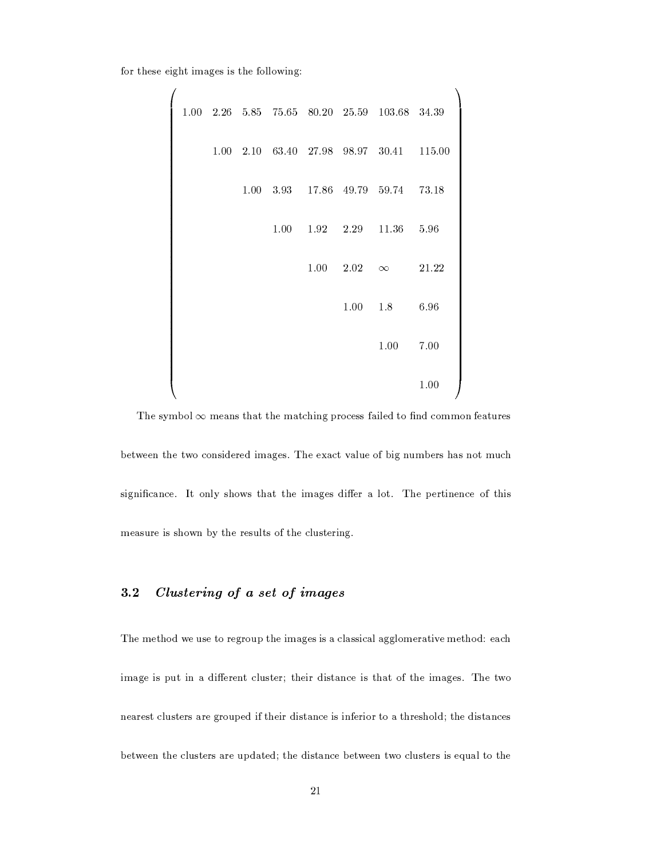for these eight images is the following:

 $\overline{ }$ 

|  |  |      |      |                   | $1.00$ $2.26$ $5.85$ $75.65$ $80.20$ $25.59$ $103.68$ $34.39$ |       |  |
|--|--|------|------|-------------------|---------------------------------------------------------------|-------|--|
|  |  |      |      |                   | 1.00 2.10 63.40 27.98 98.97 30.41 115.00                      |       |  |
|  |  |      |      |                   | 1.00 3.93 17.86 49.79 59.74 73.18                             |       |  |
|  |  | 1.00 |      | $1.92 \quad 2.29$ | 11.36                                                         | 5.96  |  |
|  |  |      | 1.00 | 2.02              | $\infty$                                                      | 21.22 |  |
|  |  |      |      | 1.00              | 1.8                                                           | 6.96  |  |
|  |  |      |      |                   | 1.00                                                          | 7.00  |  |
|  |  |      |      |                   |                                                               | 1.00  |  |

The symbol  $\infty$  means that the matching process failed to find common features between the two considered images. The exact value of big numbers has not much significance. It only shows that the images differ a lot. The pertinence of this measure is shown by the results of the clustering.

#### Clustering of a set of images  $3.2$

The method we use to regroup the images is a classical agglomerative method: each image is put in a different cluster; their distance is that of the images. The two nearest clusters are grouped if their distance is inferior to a threshold; the distances between the clusters are updated; the distance between two clusters is equal to the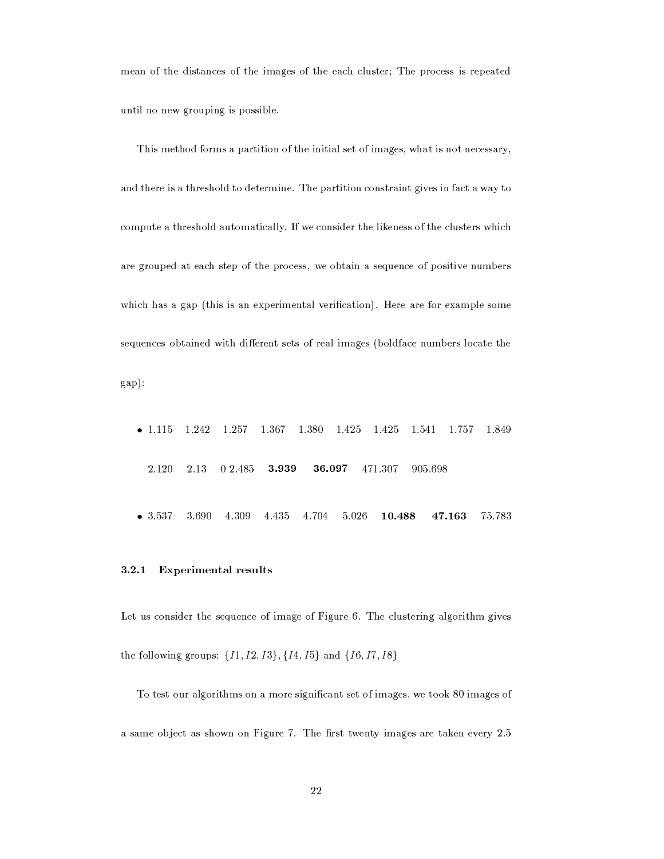mean of the distances of the images of the each cluster; The process is repeated until no new grouping is possible.

This method forms a partition of the initial set of images, what is not necessary, and there is a threshold to determine. The partition constraint gives in fact a way to compute a threshold automatically. If we consider the likeness of the clusters which are grouped at each step of the process, we obtain a sequence of positive numbers which has a gap (this is an experimental verification). Here are for example some sequences obtained with different sets of real images (boldface numbers locate the  $gap):$ 

 $-1.115$ 1.242 1.257 1.367 1.380 1.541 1.757 1.425 1.425 1.849 2.120 2.13 0 2.485 3.939 905.698 36.097 471.307  $• 3.537$ 3.690 4.309 4.435 4.704 5.026  $10.488$ 47.163 75.783

#### 3.2.1 **Experimental results**

Let us consider the sequence of image of Figure 6. The clustering algorithm gives the following groups:  $\{I1, I2, I3\}, \{I4, I5\}$  and  $\{I6, I7, I8\}$ 

To test our algorithms on a more significant set of images, we took 80 images of a same object as shown on Figure 7. The first twenty images are taken every 2.5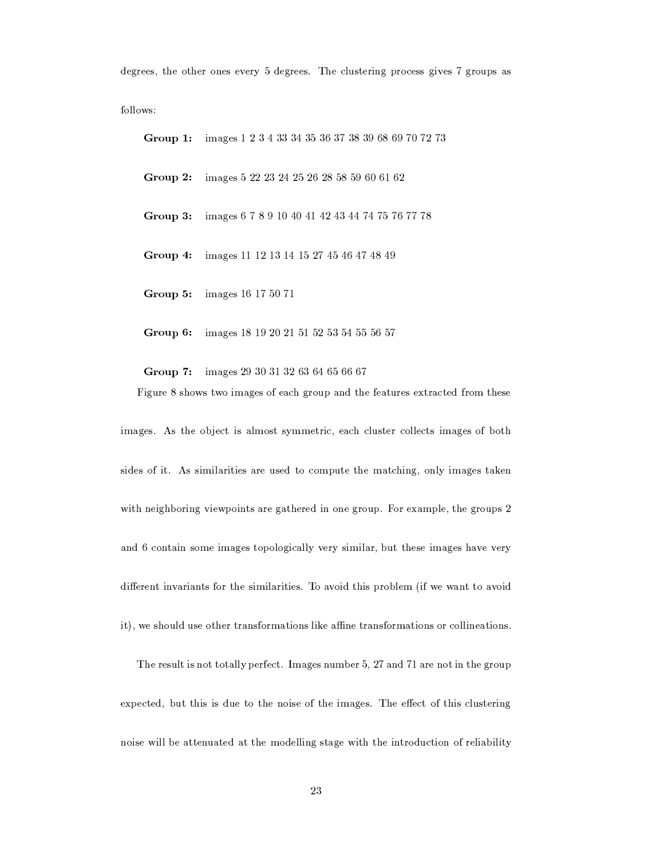degrees, the other ones every 5 degrees. The clustering process gives 7 groups as

follows:

Group 1: images 1 2 3 4 33 34 35 36 37 38 39 68 69 70 72 73 images 5 22 23 24 25 26 28 58 59 60 61 62 Group 2: images 6 7 8 9 10 40 41 42 43 44 74 75 76 77 78 Group 3: Group 4: images 11 12 13 14 15 27 45 46 47 48 49 Group 5: images 16 17 50 71

Group 6: images 18 19 20 21 51 52 53 54 55 56 57

Group 7: images 29 30 31 32 63 64 65 66 67 Figure 8 shows two images of each group and the features extracted from these

images. As the object is almost symmetric, each cluster collects images of both sides of it. As similarities are used to compute the matching, only images taken with neighboring viewpoints are gathered in one group. For example, the groups 2 and 6 contain some images topologically very similar, but these images have very different invariants for the similarities. To avoid this problem (if we want to avoid it), we should use other transformations like affine transformations or collineations.

The result is not totally perfect. Images number 5, 27 and 71 are not in the group expected, but this is due to the noise of the images. The effect of this clustering noise will be attenuated at the modelling stage with the introduction of reliability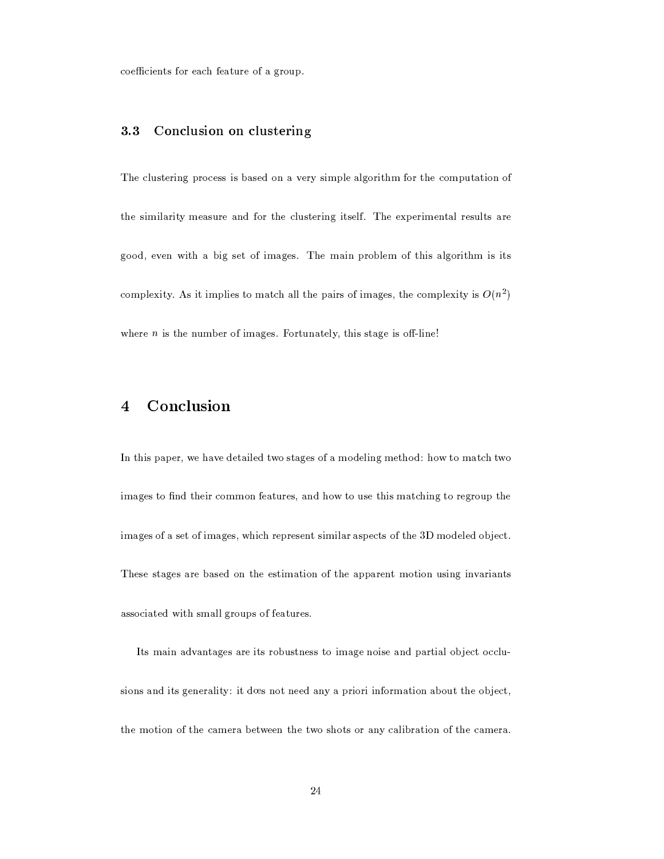coefficients for each feature of a group.

#### 3.3 Conclusion on clustering

The clustering process is based on a very simple algorithm for the computation of the similarity measure and for the clustering itself. The experimental results are good, even with a big set of images. The main problem of this algorithm is its complexity. As it implies to match all the pairs of images, the complexity is  $O(n^2)$ where  $n$  is the number of images. Fortunately, this stage is off-line!

#### Conclusion  $\overline{\mathbf{4}}$

In this paper, we have detailed two stages of a modeling method: how to match two images to find their common features, and how to use this matching to regroup the images of a set of images, which represent similar aspects of the 3D modeled object. These stages are based on the estimation of the apparent motion using invariants associated with small groups of features.

Its main advantages are its robustness to image noise and partial object occlusions and its generality: it does not need any a priori information about the object, the motion of the camera between the two shots or any calibration of the camera.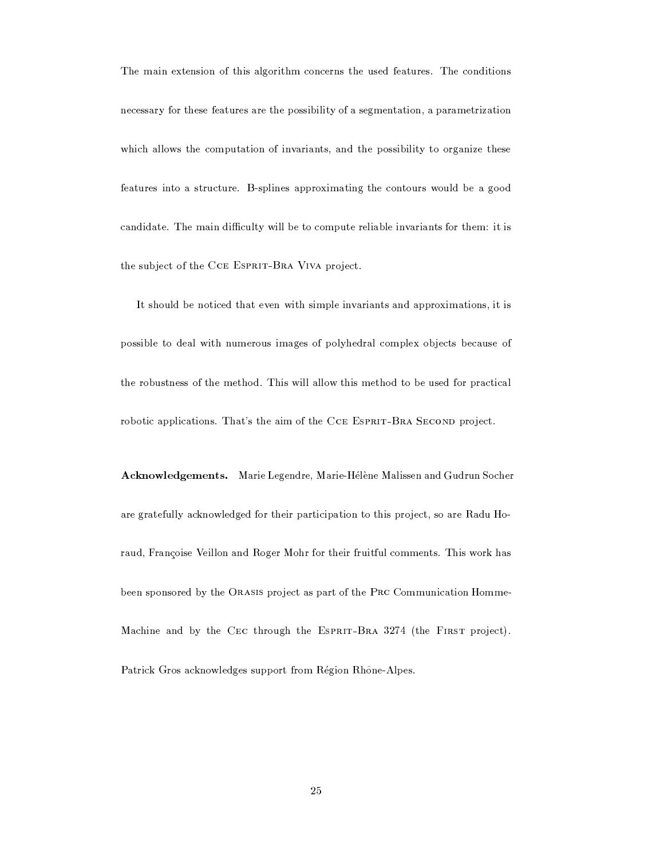The main extension of this algorithm concerns the used features. The conditions necessary for these features are the possibility of a segmentation, a parametrization which allows the computation of invariants, and the possibility to organize these features into a structure. B-splines approximating the contours would be a good candidate. The main difficulty will be to compute reliable invariants for them: it is the subject of the CCE ESPRIT-BRA VIVA project.

It should be noticed that even with simple invariants and approximations, it is possible to deal with numerous images of polyhedral complex objects because of the robustness of the method. This will allow this method to be used for practical robotic applications. That's the aim of the CCE ESPRIT-BRA SECOND project.

Acknowledgements. Marie Legendre, Marie-Hélène Malissen and Gudrun Socher are gratefully acknowledged for their participation to this project, so are Radu Horaud, Françoise Veillon and Roger Mohr for their fruitful comments. This work has been sponsored by the ORASIS project as part of the PRC Communication Homme-Machine and by the CEC through the ESPRIT-BRA 3274 (the FIRST project). Patrick Gros acknowledges support from Région Rhône-Alpes.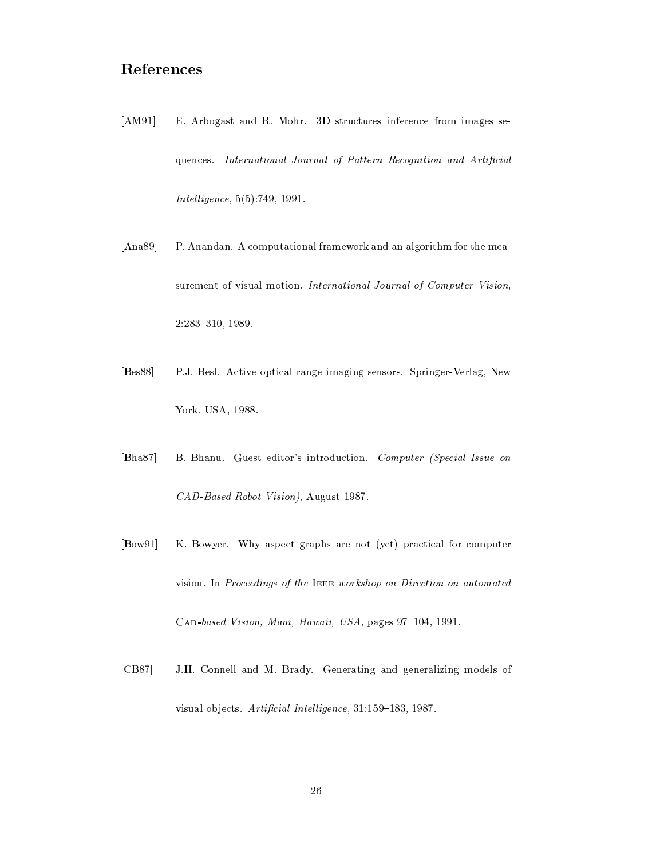### ${\bf References}$

- $[AM91]$ E. Arbogast and R. Mohr. 3D structures inference from images sequences. International Journal of Pattern Recognition and Artificial Intelligence, 5(5):749, 1991.
- $[Ans89]$ P. Anandan. A computational framework and an algorithm for the measurement of visual motion. International Journal of Computer Vision,  $2:283 - 310, 1989.$
- $[Bes88]$ P.J. Besl. Active optical range imaging sensors. Springer-Verlag, New York, USA, 1988.
- $[Bha87]$ B. Bhanu. Guest editor's introduction. Computer (Special Issue on CAD-Based Robot Vision), August 1987.
- $[bow91]$ K. Bowyer. Why aspect graphs are not (yet) practical for computer vision. In Proceedings of the IEEE workshop on Direction on automated CAD-based Vision, Maui, Hawaii, USA, pages 97-104, 1991.
- J.H. Connell and M. Brady. Generating and generalizing models of  $[CB87]$ visual objects. Artificial Intelligence, 31:159-183, 1987.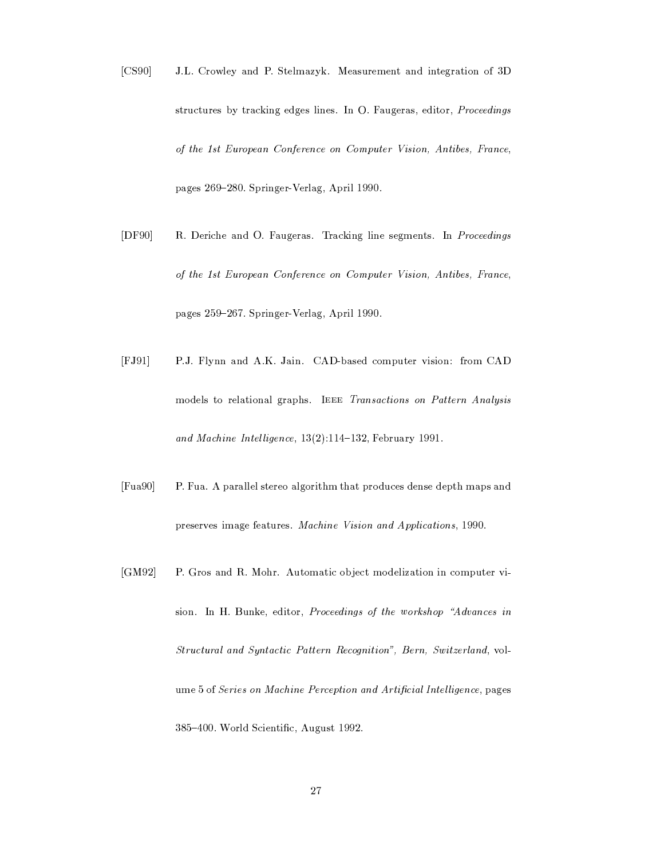- $[CS90]$ J.L. Crowley and P. Stelmazyk. Measurement and integration of 3D structures by tracking edges lines. In O. Faugeras, editor, Proceedings of the 1st European Conference on Computer Vision, Antibes, France, pages 269-280. Springer-Verlag, April 1990.
- $[DF90]$ R. Deriche and O. Faugeras. Tracking line segments. In Proceedings of the 1st European Conference on Computer Vision, Antibes, France, pages 259-267. Springer-Verlag, April 1990.
- $[FJ91]$ P.J. Flynn and A.K. Jain. CAD-based computer vision: from CAD models to relational graphs. IEEE Transactions on Pattern Analysis and Machine Intelligence, 13(2):114-132, February 1991.
- $[Fua90]$ P. Fua. A parallel stereo algorithm that produces dense depth maps and preserves image features. Machine Vision and Applications, 1990.
- $[GM92]$ P. Gros and R. Mohr. Automatic object modelization in computer vision. In H. Bunke, editor, Proceedings of the workshop "Advances in Structural and Syntactic Pattern Recognition", Bern, Switzerland, volume 5 of Series on Machine Perception and Artificial Intelligence, pages 385-400. World Scientific, August 1992.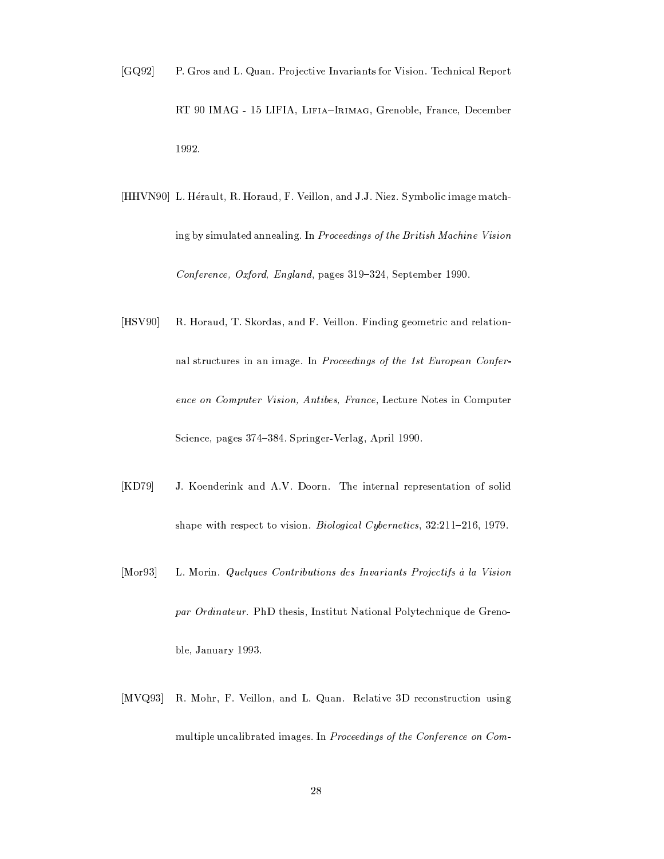- $[GQ92]$ P. Gros and L. Quan. Projective Invariants for Vision. Technical Report RT 90 IMAG - 15 LIFIA, LIFIA-IRIMAG, Grenoble, France, December 1992.
- [HHVN90] L. Hérault, R. Horaud, F. Veillon, and J.J. Niez. Symbolic image matching by simulated annealing. In Proceedings of the British Machine Vision Conference, Oxford, England, pages 319-324, September 1990.
- $[$ HSV90] R. Horaud, T. Skordas, and F. Veillon. Finding geometric and relationnal structures in an image. In Proceedings of the 1st European Conference on Computer Vision, Antibes, France, Lecture Notes in Computer Science, pages 374-384. Springer-Verlag, April 1990.
- J. Koenderink and A.V. Doorn. The internal representation of solid  $[KD79]$ shape with respect to vision. Biological Cybernetics, 32:211-216, 1979.
- $[Mor93]$ L. Morin. Quelques Contributions des Invariants Projectifs à la Vision par Ordinateur. PhD thesis, Institut National Polytechnique de Grenoble, January 1993.
- R. Mohr, F. Veillon, and L. Quan. Relative 3D reconstruction using  $[MVQ93]$ multiple uncalibrated images. In Proceedings of the Conference on Com-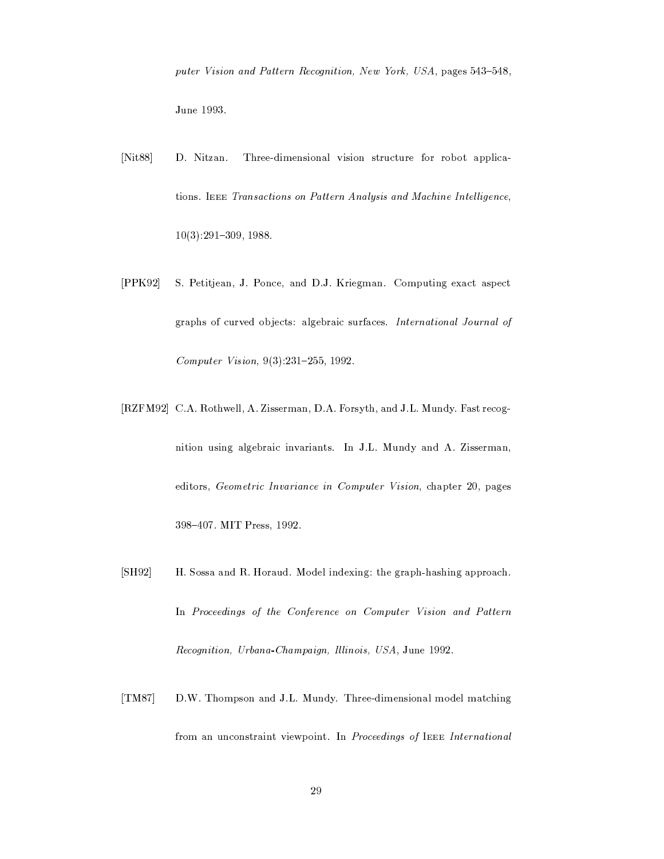puter Vision and Pattern Recognition, New York, USA, pages 543-548, June 1993.

- $[Nits8]$ D. Nitzan. Three-dimensional vision structure for robot applications. IEEE Transactions on Pattern Analysis and Machine Intelligence,  $10(3):291-309, 1988.$
- $[PPK92]$ S. Petitjean, J. Ponce, and D.J. Kriegman. Computing exact aspect graphs of curved objects: algebraic surfaces. International Journal of Computer Vision,  $9(3):231-255$ , 1992.
- [RZFM92] C.A. Rothwell, A. Zisserman, D.A. Forsyth, and J.L. Mundy. Fast recognition using algebraic invariants. In J.L. Mundy and A. Zisserman, editors, Geometric Invariance in Computer Vision, chapter 20, pages 398-407. MIT Press, 1992.
- $[SH92]$ H. Sossa and R. Horaud. Model indexing: the graph-hashing approach. In Proceedings of the Conference on Computer Vision and Pattern Recognition, Urbana-Champaign, Illinois, USA, June 1992.
- D.W. Thompson and J.L. Mundy. Three-dimensional model matching  $[TM87]$ from an unconstraint viewpoint. In Proceedings of IEEE International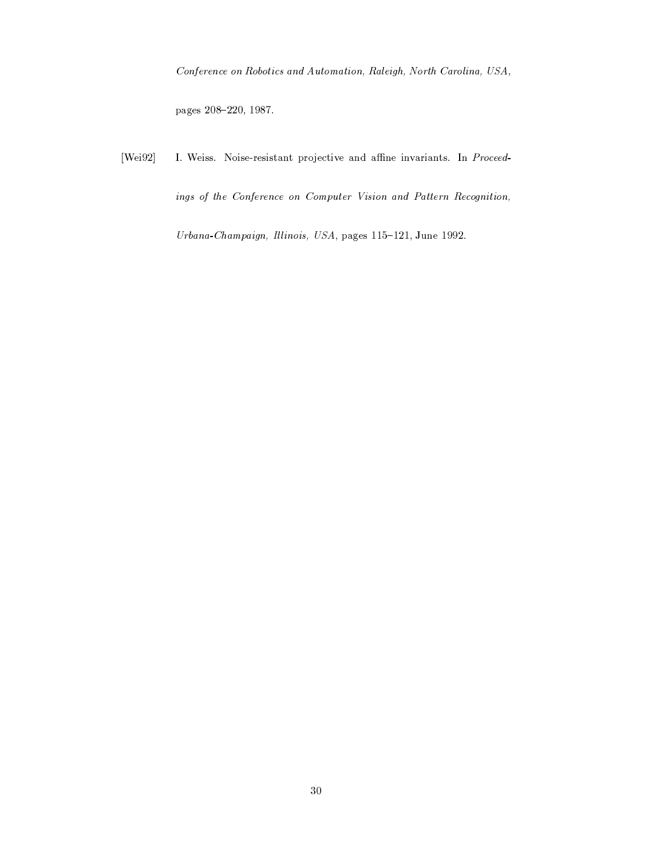Conference on Robotics and Automation, Raleigh, North Carolina, USA,

pages 208-220, 1987.

 $[Wei92]$ I. Weiss. Noise-resistant projective and affine invariants. In Proceedings of the Conference on Computer Vision and Pattern Recognition,

Urbana-Champaign, Illinois, USA, pages 115-121, June 1992.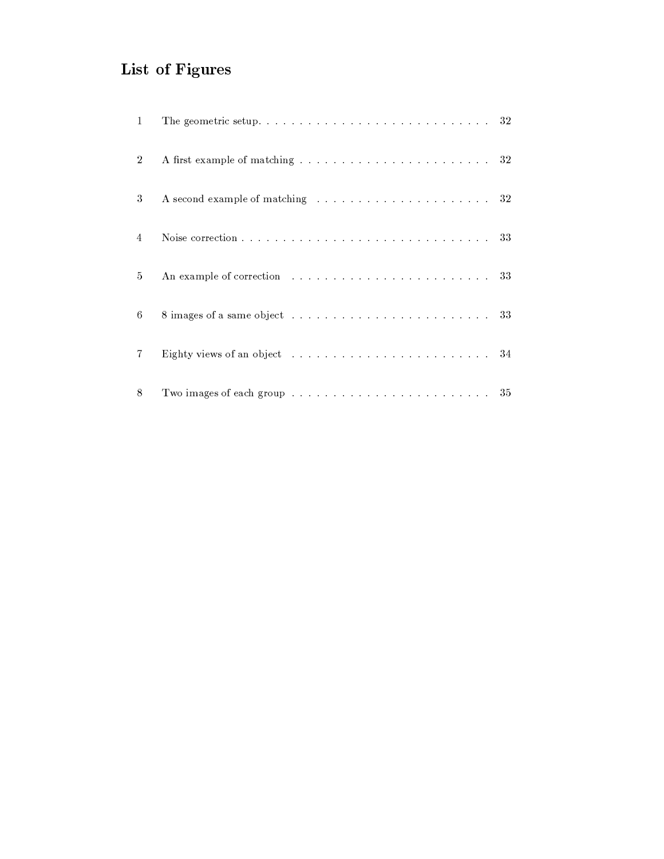# List of Figures

| $\mathbf{1}$   |                                                                                                                          |  |
|----------------|--------------------------------------------------------------------------------------------------------------------------|--|
| $\overline{2}$ |                                                                                                                          |  |
| 3              | A second example of matching response to the contract of the second example of matching response to the contract of $32$ |  |
| 4              |                                                                                                                          |  |
| 5              | An example of correction resources in the contract of the state of 33                                                    |  |
| 6              |                                                                                                                          |  |
| 7              |                                                                                                                          |  |
| 8              |                                                                                                                          |  |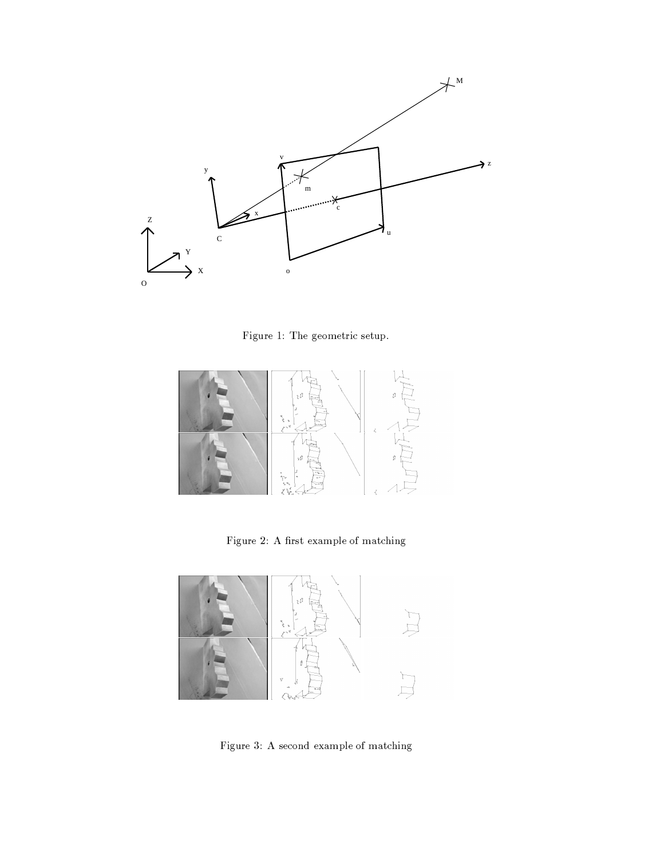

Figure 1: The geometric setup.



Figure 2: A first example of matching  $% \mathcal{N}$ 



Figure 3: A second example of matching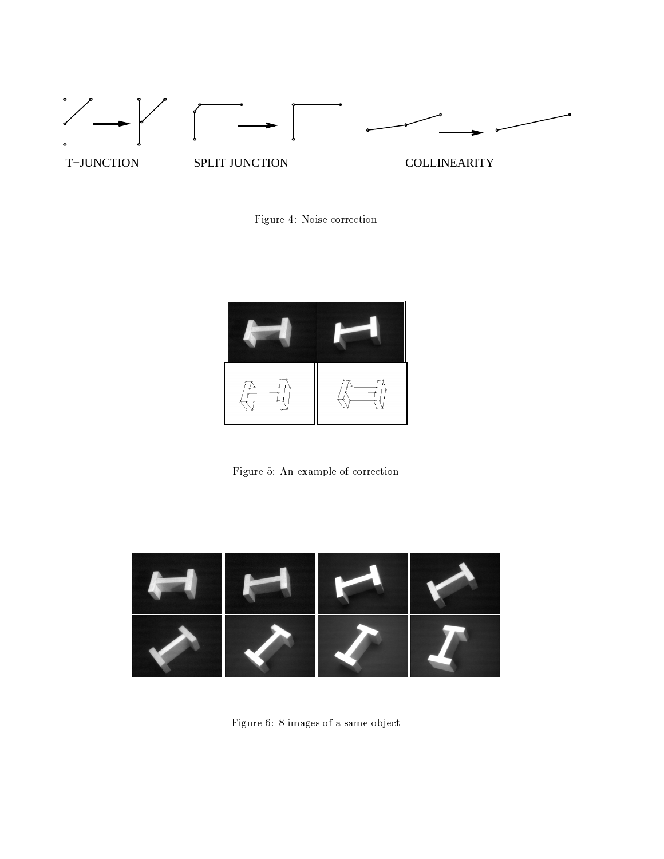

Figure 4: Noise correction



Figure 5: An example of correction



Figure 6: 8 images of a same object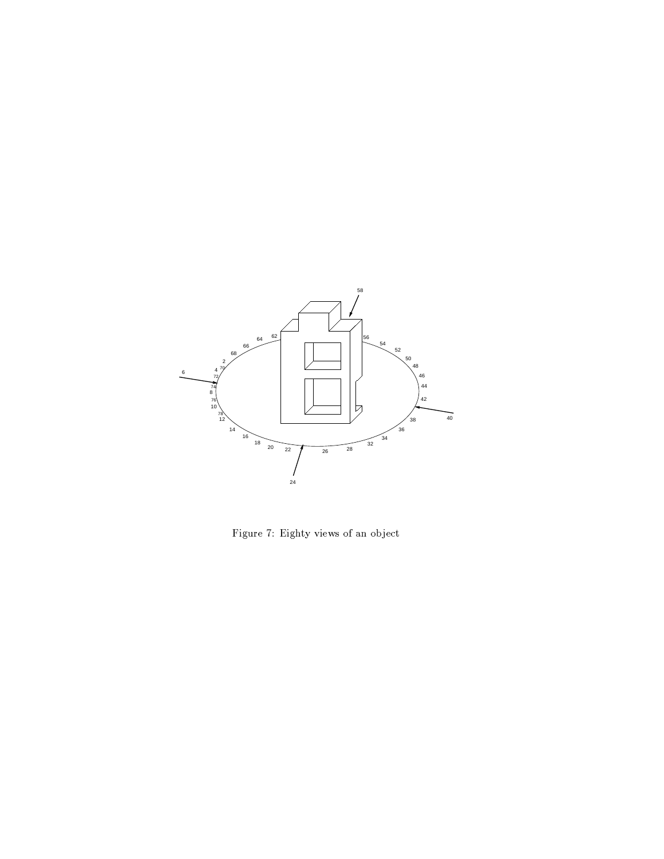

Figure 7: Eighty views of an object